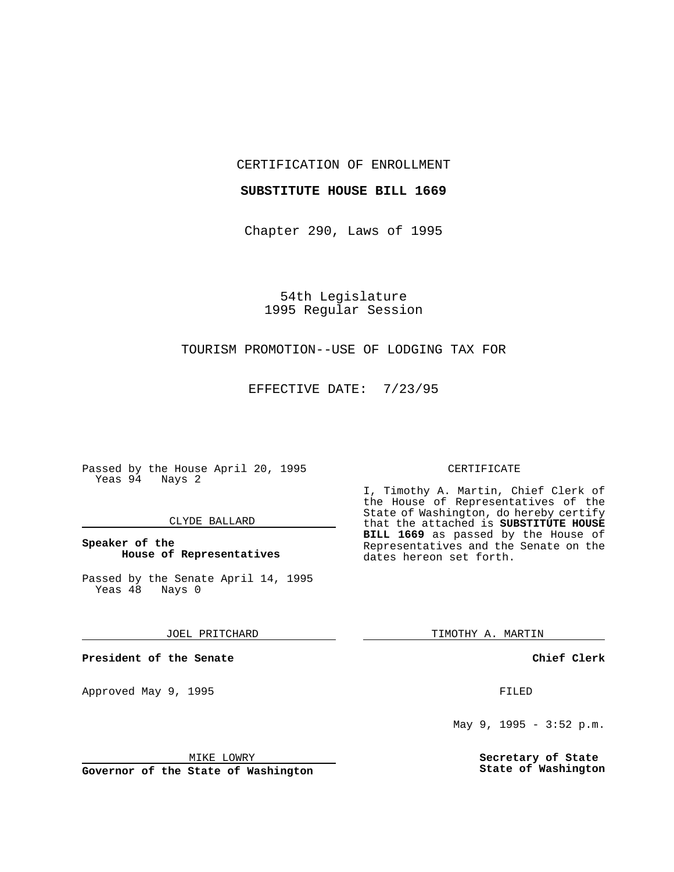CERTIFICATION OF ENROLLMENT

#### **SUBSTITUTE HOUSE BILL 1669**

Chapter 290, Laws of 1995

54th Legislature 1995 Regular Session

# TOURISM PROMOTION--USE OF LODGING TAX FOR

EFFECTIVE DATE: 7/23/95

Passed by the House April 20, 1995 Yeas 94 Nays 2

#### CLYDE BALLARD

## **Speaker of the House of Representatives**

Passed by the Senate April 14, 1995<br>Yeas 48 Nays 0 Yeas 48

#### JOEL PRITCHARD

**President of the Senate**

Approved May 9, 1995 **FILED** 

#### MIKE LOWRY

**Governor of the State of Washington**

#### CERTIFICATE

I, Timothy A. Martin, Chief Clerk of the House of Representatives of the State of Washington, do hereby certify that the attached is **SUBSTITUTE HOUSE BILL 1669** as passed by the House of Representatives and the Senate on the dates hereon set forth.

TIMOTHY A. MARTIN

## **Chief Clerk**

May 9, 1995 - 3:52 p.m.

**Secretary of State State of Washington**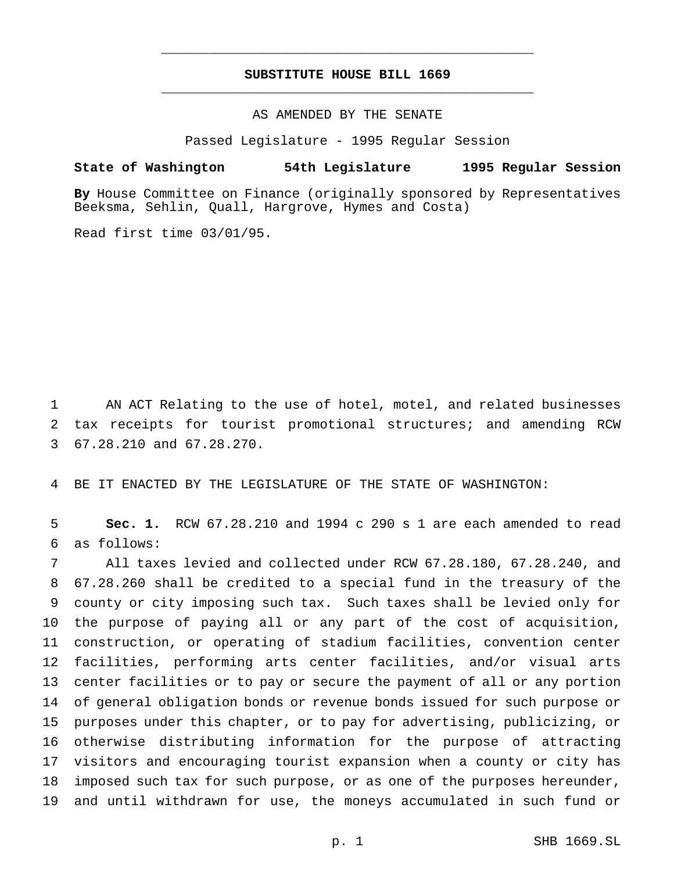# **SUBSTITUTE HOUSE BILL 1669** \_\_\_\_\_\_\_\_\_\_\_\_\_\_\_\_\_\_\_\_\_\_\_\_\_\_\_\_\_\_\_\_\_\_\_\_\_\_\_\_\_\_\_\_\_\_\_

\_\_\_\_\_\_\_\_\_\_\_\_\_\_\_\_\_\_\_\_\_\_\_\_\_\_\_\_\_\_\_\_\_\_\_\_\_\_\_\_\_\_\_\_\_\_\_

AS AMENDED BY THE SENATE

Passed Legislature - 1995 Regular Session

### **State of Washington 54th Legislature 1995 Regular Session**

**By** House Committee on Finance (originally sponsored by Representatives Beeksma, Sehlin, Quall, Hargrove, Hymes and Costa)

Read first time 03/01/95.

 AN ACT Relating to the use of hotel, motel, and related businesses tax receipts for tourist promotional structures; and amending RCW 67.28.210 and 67.28.270.

BE IT ENACTED BY THE LEGISLATURE OF THE STATE OF WASHINGTON:

 **Sec. 1.** RCW 67.28.210 and 1994 c 290 s 1 are each amended to read as follows:

 All taxes levied and collected under RCW 67.28.180, 67.28.240, and 67.28.260 shall be credited to a special fund in the treasury of the county or city imposing such tax. Such taxes shall be levied only for the purpose of paying all or any part of the cost of acquisition, construction, or operating of stadium facilities, convention center facilities, performing arts center facilities, and/or visual arts center facilities or to pay or secure the payment of all or any portion of general obligation bonds or revenue bonds issued for such purpose or purposes under this chapter, or to pay for advertising, publicizing, or otherwise distributing information for the purpose of attracting visitors and encouraging tourist expansion when a county or city has imposed such tax for such purpose, or as one of the purposes hereunder, and until withdrawn for use, the moneys accumulated in such fund or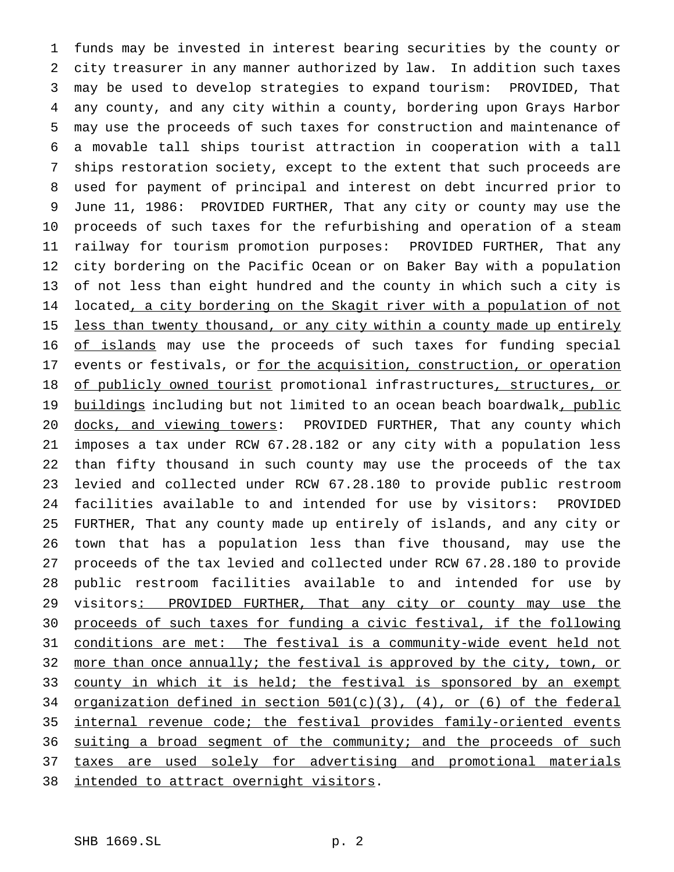funds may be invested in interest bearing securities by the county or city treasurer in any manner authorized by law. In addition such taxes may be used to develop strategies to expand tourism: PROVIDED, That any county, and any city within a county, bordering upon Grays Harbor may use the proceeds of such taxes for construction and maintenance of a movable tall ships tourist attraction in cooperation with a tall ships restoration society, except to the extent that such proceeds are used for payment of principal and interest on debt incurred prior to June 11, 1986: PROVIDED FURTHER, That any city or county may use the proceeds of such taxes for the refurbishing and operation of a steam railway for tourism promotion purposes: PROVIDED FURTHER, That any city bordering on the Pacific Ocean or on Baker Bay with a population of not less than eight hundred and the county in which such a city is 14 located, a city bordering on the Skagit river with a population of not 15 less than twenty thousand, or any city within a county made up entirely 16 of islands may use the proceeds of such taxes for funding special 17 events or festivals, or for the acquisition, construction, or operation 18 of publicly owned tourist promotional infrastructures, structures, or 19 buildings including but not limited to an ocean beach boardwalk, public docks, and viewing towers: PROVIDED FURTHER, That any county which imposes a tax under RCW 67.28.182 or any city with a population less than fifty thousand in such county may use the proceeds of the tax levied and collected under RCW 67.28.180 to provide public restroom facilities available to and intended for use by visitors: PROVIDED FURTHER, That any county made up entirely of islands, and any city or town that has a population less than five thousand, may use the proceeds of the tax levied and collected under RCW 67.28.180 to provide public restroom facilities available to and intended for use by 29 visitors: PROVIDED FURTHER, That any city or county may use the proceeds of such taxes for funding a civic festival, if the following conditions are met: The festival is a community-wide event held not 32 more than once annually; the festival is approved by the city, town, or 33 county in which it is held; the festival is sponsored by an exempt organization defined in section 501(c)(3), (4), or (6) of the federal internal revenue code; the festival provides family-oriented events 36 suiting a broad segment of the community; and the proceeds of such 37 taxes are used solely for advertising and promotional materials 38 intended to attract overnight visitors.